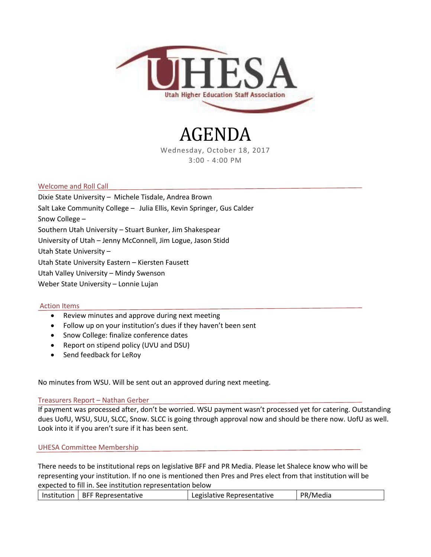

# AGENDA

Wednesday, October 18, 2017 3:00 - 4:00 PM

## Welcome and Roll Call

Dixie State University – Michele Tisdale, Andrea Brown Salt Lake Community College – Julia Ellis, Kevin Springer, Gus Calder Snow College – Southern Utah University – Stuart Bunker, Jim Shakespear University of Utah – Jenny McConnell, Jim Logue, Jason Stidd Utah State University – Utah State University Eastern – Kiersten Fausett Utah Valley University – Mindy Swenson Weber State University – Lonnie Lujan

#### Action Items

- Review minutes and approve during next meeting
- Follow up on your institution's dues if they haven't been sent
- Snow College: finalize conference dates
- Report on stipend policy (UVU and DSU)
- Send feedback for LeRoy

No minutes from WSU. Will be sent out an approved during next meeting.

#### Treasurers Report – Nathan Gerber

If payment was processed after, don't be worried. WSU payment wasn't processed yet for catering. Outstanding dues UofU, WSU, SUU, SLCC, Snow. SLCC is going through approval now and should be there now. UofU as well. Look into it if you aren't sure if it has been sent.

#### UHESA Committee Membership

There needs to be institutional reps on legislative BFF and PR Media. Please let Shalece know who will be representing your institution. If no one is mentioned then Pres and Pres elect from that institution will be expected to fill in. See institution representation below

| Institution   BFF Representative |  | Legislative Representative | PR/Media |
|----------------------------------|--|----------------------------|----------|
|                                  |  |                            |          |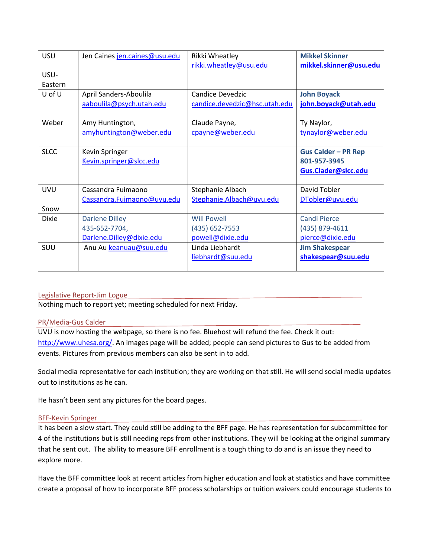| USU          | Jen Caines jen.caines@usu.edu | Rikki Wheatley                | <b>Mikkel Skinner</b>      |
|--------------|-------------------------------|-------------------------------|----------------------------|
|              |                               | rikki.wheatley@usu.edu        | mikkel.skinner@usu.edu     |
| USU-         |                               |                               |                            |
| Eastern      |                               |                               |                            |
| U of U       | April Sanders-Aboulila        | Candice Devedzic              | <b>John Boyack</b>         |
|              | aaboulila@psych.utah.edu      | candice.devedzic@hsc.utah.edu | john.boyack@utah.edu       |
|              |                               |                               |                            |
| Weber        | Amy Huntington,               | Claude Payne,                 | Ty Naylor,                 |
|              | amyhuntington@weber.edu       | cpayne@weber.edu              | tynaylor@weber.edu         |
|              |                               |                               |                            |
| <b>SLCC</b>  | Kevin Springer                |                               | <b>Gus Calder - PR Rep</b> |
|              | Kevin.springer@slcc.edu       |                               | 801-957-3945               |
|              |                               |                               | Gus.Clader@slcc.edu        |
|              |                               |                               |                            |
| <b>UVU</b>   | Cassandra Fuimaono            | Stephanie Albach              | David Tobler               |
|              | Cassandra.Fuimaono@uvu.edu    | Stephanie.Albach@uvu.edu      | DTobler@uvu.edu            |
| Snow         |                               |                               |                            |
| <b>Dixie</b> | <b>Darlene Dilley</b>         | <b>Will Powell</b>            | <b>Candi Pierce</b>        |
|              | 435-652-7704,                 | (435) 652-7553                | (435) 879-4611             |
|              | Darlene.Dilley@dixie.edu      | powell@dixie.edu              | pierce@dixie.edu           |
| SUU          | Anu Au keanuau@suu.edu        | Linda Liebhardt               | <b>Jim Shakespear</b>      |
|              |                               | liebhardt@suu.edu             | shakespear@suu.edu         |
|              |                               |                               |                            |

# Legislative Report-Jim Logue

Nothing much to report yet; meeting scheduled for next Friday.

#### PR/Media-Gus Calder

UVU is now hosting the webpage, so there is no fee. Bluehost will refund the fee. Check it out: [http://www.uhesa.org/.](http://www.uhesa.org/) An images page will be added; people can send pictures to Gus to be added from events. Pictures from previous members can also be sent in to add.

Social media representative for each institution; they are working on that still. He will send social media updates out to institutions as he can.

He hasn't been sent any pictures for the board pages.

#### BFF-Kevin Springer

It has been a slow start. They could still be adding to the BFF page. He has representation for subcommittee for 4 of the institutions but is still needing reps from other institutions. They will be looking at the original summary that he sent out. The ability to measure BFF enrollment is a tough thing to do and is an issue they need to explore more.

Have the BFF committee look at recent articles from higher education and look at statistics and have committee create a proposal of how to incorporate BFF process scholarships or tuition waivers could encourage students to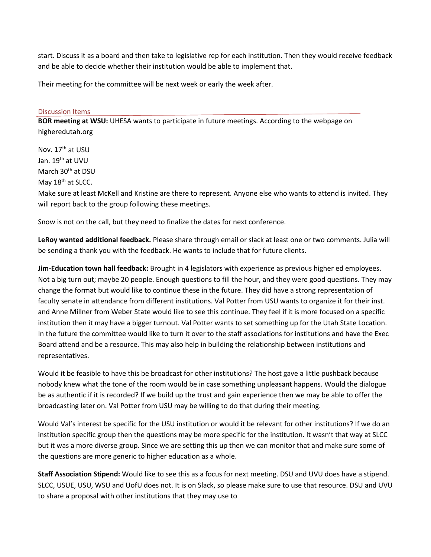start. Discuss it as a board and then take to legislative rep for each institution. Then they would receive feedback and be able to decide whether their institution would be able to implement that.

Their meeting for the committee will be next week or early the week after.

### Discussion Items

**BOR meeting at WSU:** UHESA wants to participate in future meetings. According to the webpage on higheredutah.org

Nov. 17<sup>th</sup> at USU Jan. 19<sup>th</sup> at UVU March 30<sup>th</sup> at DSU May 18<sup>th</sup> at SLCC.

Make sure at least McKell and Kristine are there to represent. Anyone else who wants to attend is invited. They will report back to the group following these meetings.

Snow is not on the call, but they need to finalize the dates for next conference.

**LeRoy wanted additional feedback.** Please share through email or slack at least one or two comments. Julia will be sending a thank you with the feedback. He wants to include that for future clients.

**Jim-Education town hall feedback:** Brought in 4 legislators with experience as previous higher ed employees. Not a big turn out; maybe 20 people. Enough questions to fill the hour, and they were good questions. They may change the format but would like to continue these in the future. They did have a strong representation of faculty senate in attendance from different institutions. Val Potter from USU wants to organize it for their inst. and Anne Millner from Weber State would like to see this continue. They feel if it is more focused on a specific institution then it may have a bigger turnout. Val Potter wants to set something up for the Utah State Location. In the future the committee would like to turn it over to the staff associations for institutions and have the Exec Board attend and be a resource. This may also help in building the relationship between institutions and representatives.

Would it be feasible to have this be broadcast for other institutions? The host gave a little pushback because nobody knew what the tone of the room would be in case something unpleasant happens. Would the dialogue be as authentic if it is recorded? If we build up the trust and gain experience then we may be able to offer the broadcasting later on. Val Potter from USU may be willing to do that during their meeting.

Would Val's interest be specific for the USU institution or would it be relevant for other institutions? If we do an institution specific group then the questions may be more specific for the institution. It wasn't that way at SLCC but it was a more diverse group. Since we are setting this up then we can monitor that and make sure some of the questions are more generic to higher education as a whole.

**Staff Association Stipend:** Would like to see this as a focus for next meeting. DSU and UVU does have a stipend. SLCC, USUE, USU, WSU and UofU does not. It is on Slack, so please make sure to use that resource. DSU and UVU to share a proposal with other institutions that they may use to